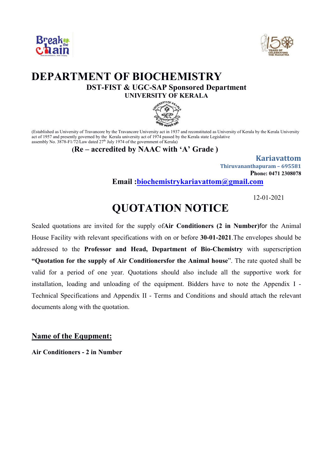



## **DEPARTMENT OF BIOCHEMISTRY DST-FIST & UGC-SAP Sponsored Department UNIVERSITY OF KERALA**



(Established as University of Travancore by the Travancore University act in 1937 and reconstituted as University of Kerala by the Kerala University act of 1957 and presently governed by the Kerala university act of 1974 passed by the Kerala state Legislative assembly No. 3878-F1/72/Law dated  $27<sup>th</sup>$  July 1974 of the government of Kerala)

#### **(Re – accredited by NAAC with 'A' Grade )**

**Kariavattom Thiruvananthapuram – 695581 Phone: 0471 2308078 Email :biochemistrykariavattom@gmail.com**

12-01-2021

# **QUOTATION NOTICE**

Sealed quotations are invited for the supply of**Air Conditioners (2 in Number)**for the Animal House Facility with relevant specifications with on or before **30-01-2021**.The envelopes should be addressed to the **Professor and Head, Department of Bio-Chemistry** with superscription **"Quotation for the supply of Air Conditionersfor the Animal house**". The rate quoted shall be valid for a period of one year. Quotations should also include all the supportive work for installation, loading and unloading of the equipment. Bidders have to note the Appendix I - Technical Specifications and Appendix II - Terms and Conditions and should attach the relevant documents along with the quotation.

#### **Name of the Equpment:**

**Air Conditioners - 2 in Number**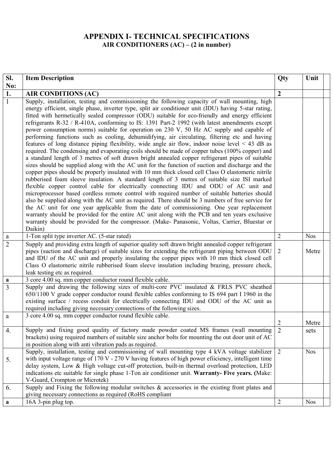### **APPENDIX I- TECHNICAL SPECIFICATIONS AIR CONDITIONERS (AC) – (2 in number)**

| SI.              | <b>Item Description</b>                                                                                                                                                                                                                                                                                                                                                                                                                                                                                                                                                                                                                                                                                                                                                                                                                                                                                                                                                                                                                                                                                                                                                                                                                                                                                                                                                                                                                                                                                                                                                                                                                                                                                                                                                                                                                       | Qty            | Unit       |
|------------------|-----------------------------------------------------------------------------------------------------------------------------------------------------------------------------------------------------------------------------------------------------------------------------------------------------------------------------------------------------------------------------------------------------------------------------------------------------------------------------------------------------------------------------------------------------------------------------------------------------------------------------------------------------------------------------------------------------------------------------------------------------------------------------------------------------------------------------------------------------------------------------------------------------------------------------------------------------------------------------------------------------------------------------------------------------------------------------------------------------------------------------------------------------------------------------------------------------------------------------------------------------------------------------------------------------------------------------------------------------------------------------------------------------------------------------------------------------------------------------------------------------------------------------------------------------------------------------------------------------------------------------------------------------------------------------------------------------------------------------------------------------------------------------------------------------------------------------------------------|----------------|------------|
| No:              |                                                                                                                                                                                                                                                                                                                                                                                                                                                                                                                                                                                                                                                                                                                                                                                                                                                                                                                                                                                                                                                                                                                                                                                                                                                                                                                                                                                                                                                                                                                                                                                                                                                                                                                                                                                                                                               |                |            |
| $\overline{1}$ . | <b>AIR CONDITIONS (AC)</b>                                                                                                                                                                                                                                                                                                                                                                                                                                                                                                                                                                                                                                                                                                                                                                                                                                                                                                                                                                                                                                                                                                                                                                                                                                                                                                                                                                                                                                                                                                                                                                                                                                                                                                                                                                                                                    | $\overline{2}$ |            |
| $\overline{1}$   | Supply, installation, testing and commissioning the following capacity of wall mounting, high<br>energy efficient, single phase, inverter type, split air conditioner unit (IDU) having 5-star rating,<br>fitted with hermetically sealed compressor (ODU) suitable for eco-friendly and energy efficient<br>refrigerants R-32 / R-410A, conforming to IS: 1391 Part-2 1992 (with latest amendments except<br>power consumption norms) suitable for operation on 230 V, 50 Hz AC supply and capable of<br>performing functions such as cooling, dehumidifying, air circulating, filtering etc and having<br>features of long distance piping flexibility, wide angle air flow, indoor noise level $\leq$ 43 dB as<br>required. The condensing and evaporating coils should be made of copper tubes (100% copper) and<br>a standard length of 3 metres of soft drawn bright annealed copper refrigerant pipes of suitable<br>sizes should be supplied along with the AC unit for the function of suction and discharge and the<br>copper pipes should be properly insulated with 10 mm thick closed cell Class O elastomeric nitrile<br>rubberised foam sleeve insulation. A standard length of 3 metres of suitable size ISI marked<br>flexible copper control cable for electrically connecting IDU and ODU of AC unit and<br>microprocessor based cordless remote control with required number of suitable batteries should<br>also be supplied along with the AC unit as required. There should be 3 numbers of free service for<br>the AC unit for one year applicable from the date of commissioning. One year replacement<br>warranty should be provided for the entire AC unit along with the PCB and ten years exclusive<br>warranty should be provided for the compressor. (Make- Panasonic, Voltas, Carrier, Bluestar or<br>Daikin) |                |            |
| $\rm{a}$         | 1-Ton split type inverter AC. (5-star rated)                                                                                                                                                                                                                                                                                                                                                                                                                                                                                                                                                                                                                                                                                                                                                                                                                                                                                                                                                                                                                                                                                                                                                                                                                                                                                                                                                                                                                                                                                                                                                                                                                                                                                                                                                                                                  | $\overline{2}$ | <b>Nos</b> |
| $\overline{2}$   | Supply and providing extra length of superior quality soft drawn bright annealed copper refrigerant<br>pipes (suction and discharge) of suitable sizes for extending the refrigerant piping between ODU<br>and IDU of the AC unit and properly insulating the copper pipes with 10 mm thick closed cell<br>Class O elastomeric nitrile rubberised foam sleeve insulation including brazing, pressure check,<br>leak testing etc as required.                                                                                                                                                                                                                                                                                                                                                                                                                                                                                                                                                                                                                                                                                                                                                                                                                                                                                                                                                                                                                                                                                                                                                                                                                                                                                                                                                                                                  | $\overline{2}$ | Metre      |
| a                | 3 core 4.00 sq. mm copper conductor round flexible cable.                                                                                                                                                                                                                                                                                                                                                                                                                                                                                                                                                                                                                                                                                                                                                                                                                                                                                                                                                                                                                                                                                                                                                                                                                                                                                                                                                                                                                                                                                                                                                                                                                                                                                                                                                                                     |                |            |
| $\overline{3}$   | Supply and drawing the following sizes of multi-core PVC insulated & FRLS PVC sheathed<br>650/1100 V grade copper conductor round flexible cables conforming to IS 694 part I 1960 in the<br>existing surface / recess conduit for electrically connecting IDU and ODU of the AC unit as<br>required including giving necessary connections of the following sizes.                                                                                                                                                                                                                                                                                                                                                                                                                                                                                                                                                                                                                                                                                                                                                                                                                                                                                                                                                                                                                                                                                                                                                                                                                                                                                                                                                                                                                                                                           |                |            |
| a                | 3 core 4.00 sq. mm copper conductor round flexible cable.                                                                                                                                                                                                                                                                                                                                                                                                                                                                                                                                                                                                                                                                                                                                                                                                                                                                                                                                                                                                                                                                                                                                                                                                                                                                                                                                                                                                                                                                                                                                                                                                                                                                                                                                                                                     |                | Metre      |
| $\overline{4}$ . | Supply and fixing good quality of factory made powder coated MS frames (wall mounting<br>brackets) using required numbers of suitable size anchor bolts for mounting the out door unit of AC<br>in position along with anti vibration pads as required.                                                                                                                                                                                                                                                                                                                                                                                                                                                                                                                                                                                                                                                                                                                                                                                                                                                                                                                                                                                                                                                                                                                                                                                                                                                                                                                                                                                                                                                                                                                                                                                       | $\overline{2}$ | sets       |
| 5.               | Supply, installation, testing and commissioning of wall mounting type 4 kVA voltage stabilizer<br>with input voltage range of 170 V - 270 V having features of high power efficiency, intelligent time<br>delay system, Low & High voltage cut-off protection, built-in thermal overload protection, LED<br>indications etc suitable for single phase 1-Ton air conditioner unit. Warranty- Five years. (Make:<br>V-Guard, Crompton or Microtek)                                                                                                                                                                                                                                                                                                                                                                                                                                                                                                                                                                                                                                                                                                                                                                                                                                                                                                                                                                                                                                                                                                                                                                                                                                                                                                                                                                                              | $\overline{2}$ | <b>Nos</b> |
| $\overline{6}$ . | Supply and Fixing the following modular switches & accessories in the existing front plates and<br>giving necessary connections as required (RoHS compliant                                                                                                                                                                                                                                                                                                                                                                                                                                                                                                                                                                                                                                                                                                                                                                                                                                                                                                                                                                                                                                                                                                                                                                                                                                                                                                                                                                                                                                                                                                                                                                                                                                                                                   |                |            |
| a                | 16A 3-pin plug top.                                                                                                                                                                                                                                                                                                                                                                                                                                                                                                                                                                                                                                                                                                                                                                                                                                                                                                                                                                                                                                                                                                                                                                                                                                                                                                                                                                                                                                                                                                                                                                                                                                                                                                                                                                                                                           | $\mathbf{2}$   | <b>Nos</b> |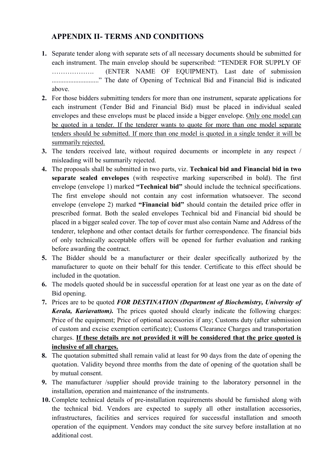## **APPENDIX II- TERMS AND CONDITIONS**

- **1.** Separate tender along with separate sets of all necessary documents should be submitted for each instrument. The main envelop should be superscribed: "TENDER FOR SUPPLY OF ………………. (ENTER NAME OF EQUIPMENT). Last date of submission ............................" The date of Opening of Technical Bid and Financial Bid is indicated above.
- **2.** For those bidders submitting tenders for more than one instrument, separate applications for each instrument (Tender Bid and Financial Bid) must be placed in individual sealed envelopes and these envelops must be placed inside a bigger envelope. Only one model can be quoted in a tender. If the tenderer wants to quote for more than one model separate tenders should be submitted. If more than one model is quoted in a single tender it will be summarily rejected.
- **3.** The tenders received late, without required documents or incomplete in any respect / misleading will be summarily rejected.
- **4.** The proposals shall be submitted in two parts, viz. **Technical bid and Financial bid in two separate sealed envelopes** (with respective marking superscribed in bold). The first envelope (envelope 1) marked **"Technical bid"** should include the technical specifications. The first envelope should not contain any cost information whatsoever. The second envelope (envelope 2) marked **"Financial bid"** should contain the detailed price offer in prescribed format. Both the sealed envelopes Technical bid and Financial bid should be placed in a bigger sealed cover. The top of cover must also contain Name and Address of the tenderer, telephone and other contact details for further correspondence. The financial bids of only technically acceptable offers will be opened for further evaluation and ranking before awarding the contract.
- **5.** The Bidder should be a manufacturer or their dealer specifically authorized by the manufacturer to quote on their behalf for this tender. Certificate to this effect should be included in the quotation.
- **6.** The models quoted should be in successful operation for at least one year as on the date of Bid opening.
- **7.** Prices are to be quoted *FOR DESTINATION (Department of Biochemistry, University of Kerala, Kariavattom).* The prices quoted should clearly indicate the following charges: Price of the equipment; Price of optional accessories if any; Customs duty (after submission of custom and excise exemption certificate); Customs Clearance Charges and transportation charges. **If these details are not provided it will be considered that the price quoted is inclusive of all charges.**
- **8.** The quotation submitted shall remain valid at least for 90 days from the date of opening the quotation. Validity beyond three months from the date of opening of the quotation shall be by mutual consent.
- **9.** The manufacturer /supplier should provide training to the laboratory personnel in the installation, operation and maintenance of the instruments.
- **10.** Complete technical details of pre-installation requirements should be furnished along with the technical bid. Vendors are expected to supply all other installation accessories, infrastructures, facilities and services required for successful installation and smooth operation of the equipment. Vendors may conduct the site survey before installation at no additional cost.